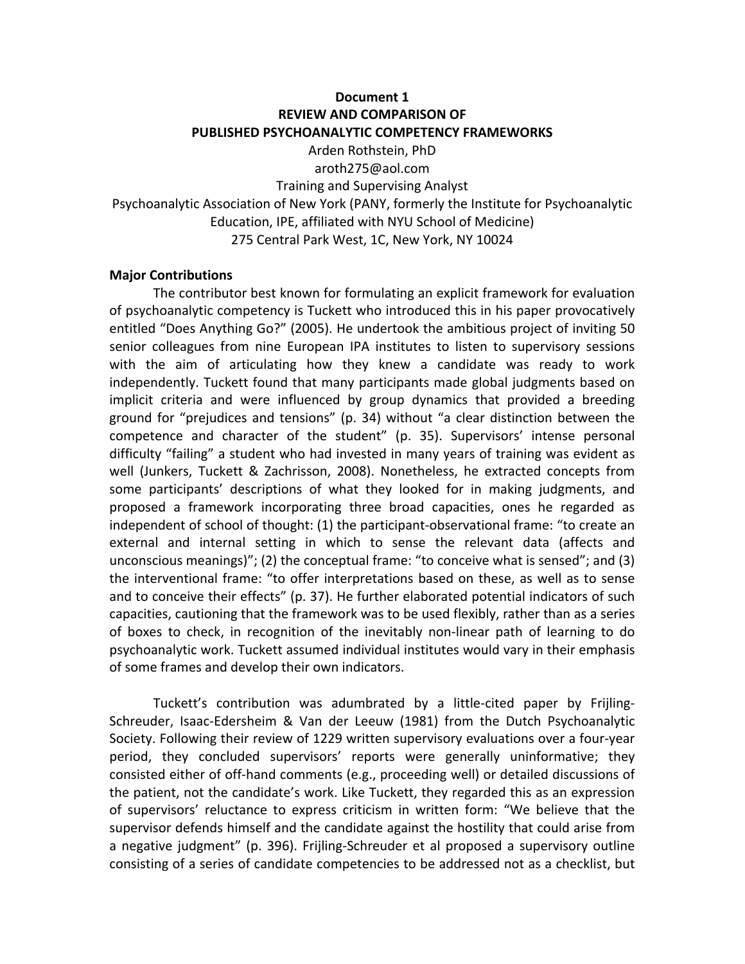## **Document 1 REVIEW AND COMPARISON OF PUBLISHED PSYCHOANALYTIC COMPETENCY FRAMEWORKS**

Arden Rothstein, PhD aroth275@aol.com Training and Supervising Analyst Psychoanalytic Association of New York (PANY, formerly the Institute for Psychoanalytic Education, IPE, affiliated with NYU School of Medicine) 275 Central Park West, 1C, New York, NY 10024

## **Major Contributions**

The contributor best known for formulating an explicit framework for evaluation of psychoanalytic competency is Tuckett who introduced this in his paper provocatively entitled "Does Anything Go?" (2005). He undertook the ambitious project of inviting 50 senior colleagues from nine European IPA institutes to listen to supervisory sessions with the aim of articulating how they knew a candidate was ready to work independently. Tuckett found that many participants made global judgments based on implicit criteria and were influenced by group dynamics that provided a breeding ground for "prejudices and tensions" (p. 34) without "a clear distinction between the competence and character of the student" (p. 35). Supervisors' intense personal difficulty "failing" a student who had invested in many years of training was evident as well (Junkers, Tuckett & Zachrisson, 2008). Nonetheless, he extracted concepts from some participants' descriptions of what they looked for in making judgments, and proposed a framework incorporating three broad capacities, ones he regarded as independent of school of thought: (1) the participant-observational frame: "to create an external and internal setting in which to sense the relevant data (affects and unconscious meanings)"; (2) the conceptual frame: "to conceive what is sensed"; and (3) the interventional frame: "to offer interpretations based on these, as well as to sense and to conceive their effects" (p. 37). He further elaborated potential indicators of such capacities, cautioning that the framework was to be used flexibly, rather than as a series of boxes to check, in recognition of the inevitably non-linear path of learning to do psychoanalytic work. Tuckett assumed individual institutes would vary in their emphasis of some frames and develop their own indicators.

Tuckett's contribution was adumbrated by a little-cited paper by Frijling-Schreuder, Isaac-Edersheim & Van der Leeuw (1981) from the Dutch Psychoanalytic Society. Following their review of 1229 written supervisory evaluations over a four-year period, they concluded supervisors' reports were generally uninformative; they consisted either of off-hand comments (e.g., proceeding well) or detailed discussions of the patient, not the candidate's work. Like Tuckett, they regarded this as an expression of supervisors' reluctance to express criticism in written form: "We believe that the supervisor defends himself and the candidate against the hostility that could arise from a negative judgment" (p. 396). Frijling-Schreuder et al proposed a supervisory outline consisting of a series of candidate competencies to be addressed not as a checklist, but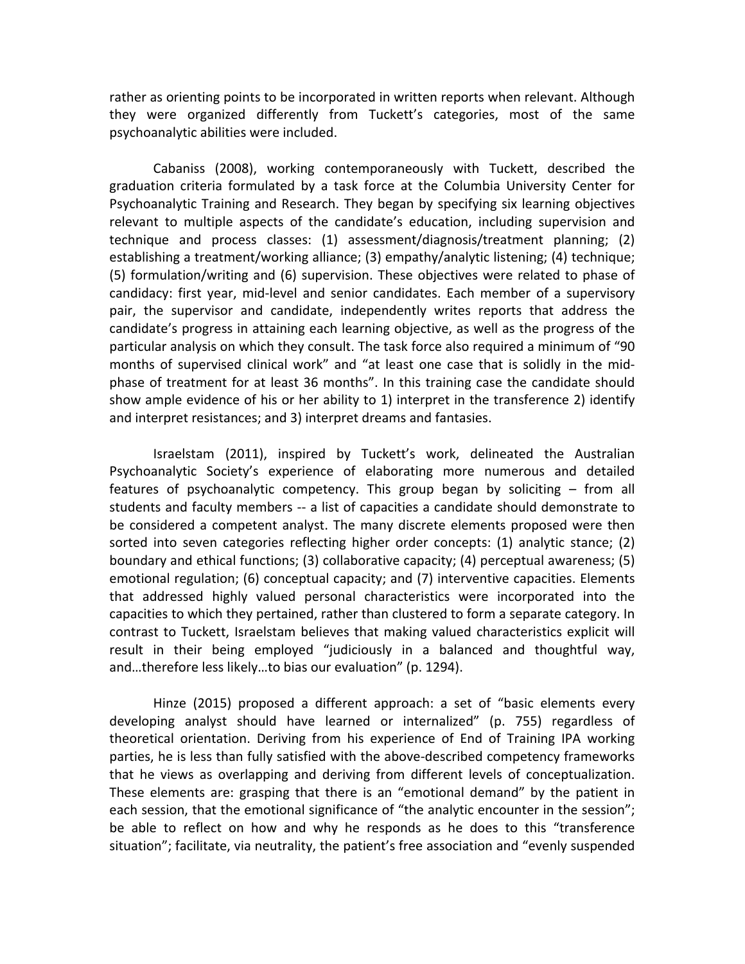rather as orienting points to be incorporated in written reports when relevant. Although they were organized differently from Tuckett's categories, most of the same psychoanalytic abilities were included.

Cabaniss (2008), working contemporaneously with Tuckett, described the graduation criteria formulated by a task force at the Columbia University Center for Psychoanalytic Training and Research. They began by specifying six learning objectives relevant to multiple aspects of the candidate's education, including supervision and  $technique$  and process classes:  $(1)$  assessment/diagnosis/treatment planning;  $(2)$ establishing a treatment/working alliance; (3) empathy/analytic listening; (4) technique; (5) formulation/writing and (6) supervision. These objectives were related to phase of candidacy: first year, mid-level and senior candidates. Each member of a supervisory pair, the supervisor and candidate, independently writes reports that address the candidate's progress in attaining each learning objective, as well as the progress of the particular analysis on which they consult. The task force also required a minimum of "90 months of supervised clinical work" and "at least one case that is solidly in the midphase of treatment for at least 36 months". In this training case the candidate should show ample evidence of his or her ability to 1) interpret in the transference 2) identify and interpret resistances; and 3) interpret dreams and fantasies.

Israelstam (2011), inspired by Tuckett's work, delineated the Australian Psychoanalytic Society's experience of elaborating more numerous and detailed features of psychoanalytic competency. This group began by soliciting  $-$  from all students and faculty members -- a list of capacities a candidate should demonstrate to be considered a competent analyst. The many discrete elements proposed were then sorted into seven categories reflecting higher order concepts:  $(1)$  analytic stance;  $(2)$ boundary and ethical functions; (3) collaborative capacity; (4) perceptual awareness; (5) emotional regulation;  $(6)$  conceptual capacity; and  $(7)$  interventive capacities. Elements that addressed highly valued personal characteristics were incorporated into the capacities to which they pertained, rather than clustered to form a separate category. In contrast to Tuckett, Israelstam believes that making valued characteristics explicit will result in their being employed "judiciously in a balanced and thoughtful way, and...therefore less likely...to bias our evaluation" (p. 1294).

Hinze (2015) proposed a different approach: a set of "basic elements every developing analyst should have learned or internalized" (p. 755) regardless of theoretical orientation. Deriving from his experience of End of Training IPA working parties, he is less than fully satisfied with the above-described competency frameworks that he views as overlapping and deriving from different levels of conceptualization. These elements are: grasping that there is an "emotional demand" by the patient in each session, that the emotional significance of "the analytic encounter in the session"; be able to reflect on how and why he responds as he does to this "transference situation"; facilitate, via neutrality, the patient's free association and "evenly suspended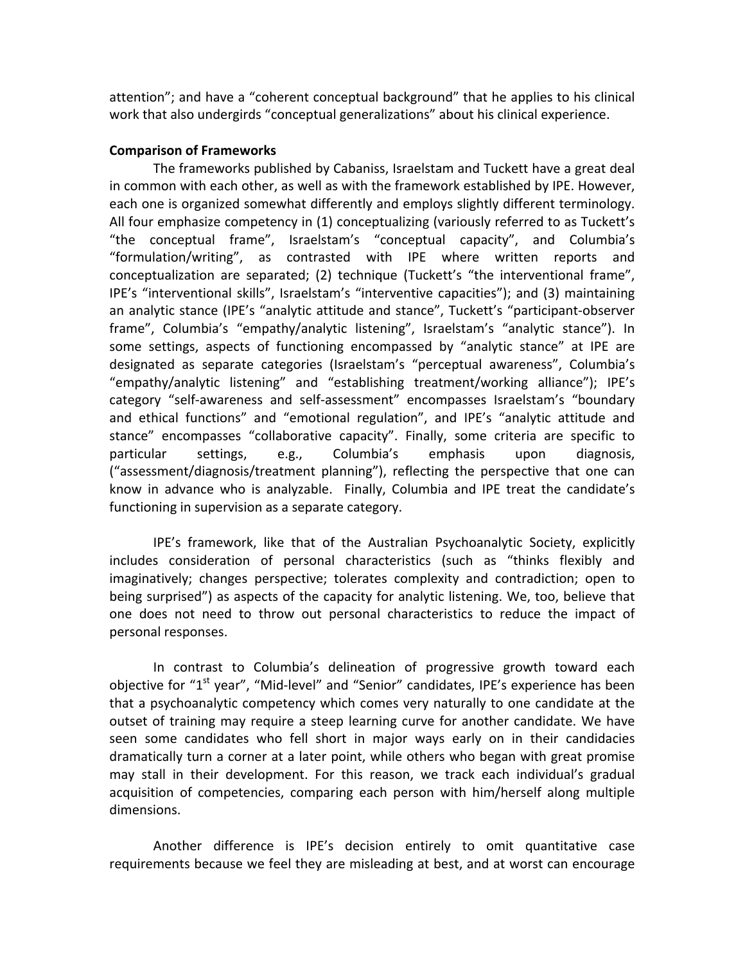attention"; and have a "coherent conceptual background" that he applies to his clinical work that also undergirds "conceptual generalizations" about his clinical experience.

## **Comparison of Frameworks**

The frameworks published by Cabaniss, Israelstam and Tuckett have a great deal in common with each other, as well as with the framework established by IPE. However, each one is organized somewhat differently and employs slightly different terminology. All four emphasize competency in (1) conceptualizing (variously referred to as Tuckett's "the conceptual frame", Israelstam's "conceptual capacity", and Columbia's "formulation/writing", as contrasted with IPE where written reports and conceptualization are separated; (2) technique (Tuckett's "the interventional frame", IPE's "interventional skills", Israelstam's "interventive capacities"); and (3) maintaining an analytic stance (IPE's "analytic attitude and stance", Tuckett's "participant-observer frame", Columbia's "empathy/analytic listening", Israelstam's "analytic stance"). In some settings, aspects of functioning encompassed by "analytic stance" at IPE are designated as separate categories (Israelstam's "perceptual awareness", Columbia's "empathy/analytic listening" and "establishing treatment/working alliance"); IPE's category "self-awareness and self-assessment" encompasses Israelstam's "boundary and ethical functions" and "emotional regulation", and IPE's "analytic attitude and stance" encompasses "collaborative capacity". Finally, some criteria are specific to particular settings, e.g., Columbia's emphasis upon diagnosis, ("assessment/diagnosis/treatment planning"), reflecting the perspective that one can know in advance who is analyzable. Finally, Columbia and IPE treat the candidate's functioning in supervision as a separate category.

IPE's framework, like that of the Australian Psychoanalytic Society, explicitly includes consideration of personal characteristics (such as "thinks flexibly and imaginatively; changes perspective; tolerates complexity and contradiction; open to being surprised") as aspects of the capacity for analytic listening. We, too, believe that one does not need to throw out personal characteristics to reduce the impact of personal responses.

In contrast to Columbia's delineation of progressive growth toward each objective for "1<sup>st</sup> year", "Mid-level" and "Senior" candidates, IPE's experience has been that a psychoanalytic competency which comes very naturally to one candidate at the outset of training may require a steep learning curve for another candidate. We have seen some candidates who fell short in major ways early on in their candidacies dramatically turn a corner at a later point, while others who began with great promise may stall in their development. For this reason, we track each individual's gradual acquisition of competencies, comparing each person with him/herself along multiple dimensions. 

Another difference is IPE's decision entirely to omit quantitative case requirements because we feel they are misleading at best, and at worst can encourage